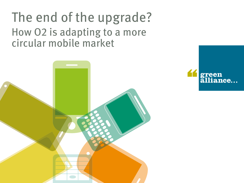# The end of the upgrade? How O2 is adapting to a more circular mobile market



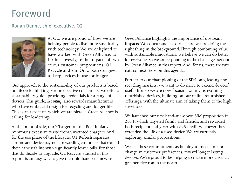### Foreword

### Ronan Dunne, chief executive, O2



At O2, we are proud of how we are helping people to live more sustainably with technology. We are delighted to have worked with Green Alliance, to further investigate the impacts of two of our customer propositions, O2 Recycle and Sim Only, both designed to keep devices in use for longer.

Our approach to the sustainability of our products is based on lifecycle thinking. For prospective consumers, we offer a sustainability guide providing credentials for a range of devices. This guide, *Eco rating*, also rewards manufacturers who have embraced design for recycling and longer life. This is an aspect on which we are pleased Green Alliance is calling for leadership.

At the point of sale, our 'Charger out the Box' initiative minimises excessive waste from unwanted chargers. And for the use phase of the lifecycle, O2 Refresh separates airtime and device payment, rewarding customers that extend their handset's life with significantly lower bills. For those that do decide to upgrade, O2 Recycle, studied in this report, is an easy way to give their old handset a new use.

Green Alliance highlights the importance of upstream impacts. We concur and seek to ensure we are doing the right thing in the background. Through combining value with sustainable innovations, we believe we can do better for everyone. So we are responding to the challenges set out by Green Alliance in this report. And, for us, there are two natural next steps on this agenda.

Further to our championing of the SIM-only, leasing and recycling markets, we want to do more to extend devices' useful life. So we are now focusing on mainstreaming refurbished devices, building on our online refurbished offerings, with the ultimate aim of taking them to the high street too.

We launched our first hand-me-down SIM proposition in 2011, which targeted family and friends, and rewarded both recipient and giver with  $£25$  credit whenever they extended the life of a used device. We are currently exploring similar propositions.

We see these commitments as helping to meet a major change in customer preferences, toward longer lasting devices. We're proud to be helping to make more circular, greener electronics the norm.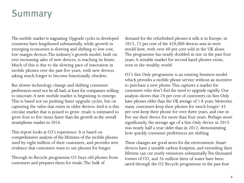### Summary

The mobile market is stagnating. Upgrade cycles in developed countries have lengthened substantially, while growth in emerging economies is slowing and shifting to low cost, low margin devices. The industry's growth model, built on ever increasing sales of new devices, is reaching its limits. Much of this is due to the slowing pace of innovation in mobile phones over the past five years, with new devices taking much longer to become functionally obsolete.

But slower technology change and shifting consumer preferences need not be all bad, at least for companies willing to innovate. A new mobile market is beginning to emerge. This is based not on pushing faster upgrade cycles, but on capturing the value that exists in older devices. And it is this circular market that is poised to grow: resale is estimated to grow four to five times faster than the growth in the overall smartphone market in 2016.

This report looks at O2's experience. It is based on comprehensive analysis of the lifetimes of the mobile phones used by eight million of their customers, and provides new evidence that customers want to use phones for longer.

Through its Recycle programme O2 buys old phones from customers and prepares them for resale. The bulk of

demand for the refurbished phones it sells is in Europe: in 2015, 72 per cent of the 420,000 devices sent in were resold here, with over 40 per cent sold in the UK alone. The programme has nearly doubled in size in the past four years. A sizeable market for second hand phones exists, even in the wealthy world.

O2's Sim Only programme is an existing business model which provides a mobile phone service without an incentive to purchase a new phone. This captures a market for customers who don't feel the need to upgrade rapidly. Our analysis shows that 74 per cent of customers on Sim Only have phones older than the UK average of 1.8 years. Moreover, many customers keep their phones for much longer: 43 per cent keep their phone for over three years, and one in five use their device for more than four years. Perhaps more significantly, the average age of a Sim Only device in 2015 was nearly half a year older than in 2012, demonstrating how quickly consumer preferences are shifting.

These changes are good news for the environment. Smart devices have a sizeable carbon footprint, and extending their lifetime can cut yearly emissions substantially. Ten thousand tonnes of  $CO<sub>2</sub>$  and 26 million litres of water have been saved through the O2 Recycle programme in the past four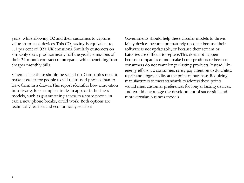years, while allowing O2 and their customers to capture value from used devices. This  $CO_2$  saving is equivalent to 1.1 per cent of O2's UK emissions. Similarly customers on Sim Only deals produce nearly half the yearly emissions of their 24 month contract counterparts, while benefiting from cheaper monthly bills.

Schemes like these should be scaled up. Companies need to make it easier for people to sell their used phones than to leave them in a drawer. This report identifies how innovation in software, for example a trade-in app, or in business models, such as guaranteeing access to a spare phone, in case a new phone breaks, could work. Both options are technically feasible and economically sensible.

Governments should help these circular models to thrive. Many devices become prematurely obsolete because their software is not updateable, or because their screens or batteries are difficult to replace. This does not happen because companies cannot make better products or because consumers do not want longer lasting products. Instead, like energy efficiency, consumers rarely pay attention to durability, repair and upgradability at the point of purchase. Requiring manufacturers to meet standards to address these points would meet customer preferences for longer lasting devices, and would encourage the development of successful, and more circular, business models.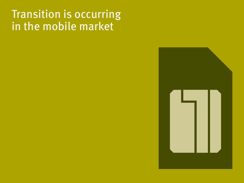## Transition is occurring in the mobile market

- 
- -
	- -
		-
	-
- - -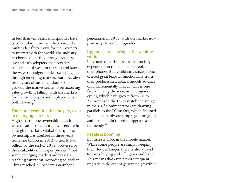In less than ten years, smartphones have become ubiquitous, and have created a multitude of new ways for their owners to interact with the world. The industry has boomed, initially through business use and early adopters, then broader penetration of western markets and later the wave of budget models sweeping through emerging markets. But now, after seven years of sustained double digit growth, the market seems to be maturing. Sales growth is falling, with the markets for first time buyers and replacements both slowing.<sup>1</sup>

#### There are fewer first time buyers, even in emerging markets

High smartphone ownership rates in the west mean most sales to new users are in emerging markets. Global smartphone ownership has doubled in three years, from one billion in 2012 to nearly two billion by the end of 2015, bolstered by the availability of cheaper phones.<sup>2,3</sup> But some emerging markets are now also reaching saturation. According to Nielsen, China reached 73 per cent smartphone

penetration in 2015, with the market now primarily driven by upgrades.<sup>4</sup>

#### Upgrades are slowing in the wealthy world

In saturated markets, sales are crucially dependent on the rate people replace their phones. But, while early smartphones offered great leaps in functionality from their predecessors, today's models advance only incrementally, if at all. This is one factor driving the increase in upgrade cycles, which have grown from 18 to 22 months in the US to match the average in the UK.<sup>5</sup> Commentators are drawing parallels to the PC market, which flatlined when "the hardware simply got too good, and people didn't need to upgrade as frequently."<sup>6</sup>

#### Resale is booming

But more is afoot in the mobile market. While some people are simply keeping their devices longer, there is also a trend towards buying and selling second hand. This means that even a more frequent upgrade cycle cannot guarantee growth in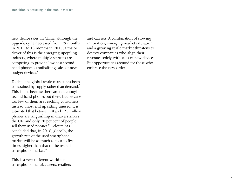new device sales. In China, although the upgrade cycle decreased from 29 months in 2011 to 18 months in 2015, a major driver of this is the emerging upcycling industry, where multiple startups are competing to provide low cost second hand phones, cannibalising sales of new budget devices.<sup>7</sup>

To date, the global resale market has been constrained by supply rather than demand.<sup>8</sup> This is not because there are not enough second hand phones out there, but because too few of them are reaching consumers. Instead, most end up sitting unused: it is estimated that between 28 and 125 million phones are languishing in drawers across the UK, and only 20 per cent of people sell their used phones.<sup>9</sup> Deloitte has concluded that, in 2016, globally, the growth rate of the used smartphone market will be as much as four to five times higher than that of the overall smartphone market.<sup>10</sup>

This is a very different world for smartphone manufacturers, retailers and carriers. A combination of slowing innovation, emerging market saturation and a growing resale market threatens to destroy companies who align their revenues solely with sales of new devices. But opportunities abound for those who embrace the new order.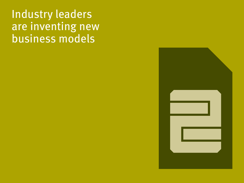# Industry leaders are inventing new business models

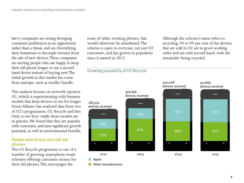Savvy companies are seeing diverging consumer preferences as an opportunity rather than a threat, and are diversifying their businesses to decouple revenue from the sale of new devices. These companies are serving people who are happy to keep their old phone longer or use a second hand device instead of buying new. The initial growth in this market has come from startups, such as reseller Gazelle.

This analysis focuses on network operator O2, which is experimenting with business models that keep devices in use for longer. Green Alliance has analysed data from two of O2's programmes, O2 Recycle and Sim Only, to see how viable these models are in practice. We found that they are popular with customers, and have significant growth potential, as well as environmental benefits.

#### People want to buy and sell old phones

The O2 Recycle programme is one of a number of growing smartphone resale schemes offering customers money for their old phones. This encourages the

reuse of older, working phones, that would otherwise be abandoned. The scheme is open to everyone, not just O2 customers, and has grown in popularity since it started in 2012.

#### Growing popularity of O2 Recycle

Although the scheme's name refers to recycling, 95 to 99 per cent of the devices that are sold to O2 are in good working order and are sold second hand, with the remainder being recycled.

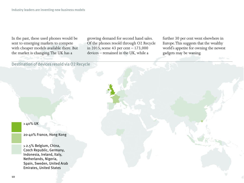In the past, these used phones would be sent to emerging markets to compete with cheaper models available there. But the market is changing. The UK has a

growing demand for second hand sales. Of the phones resold through O2 Recycle in 2015, some 43 per cent – 173,000 devices – remained in the UK, while a

further 30 per cent went elsewhere in Europe. This suggests that the wealthy world's appetite for owning the newest gadgets may be waning.

Destination of devices resold via O2 Recycle

40% UK

20-40% France, Hong Kong

 2.5% Belgium, China, Czech Republic, Germany, Indonesia, Ireland, Italy, Netherlands, Nigeria, Spain, Sweden, United Arab Emirates, United States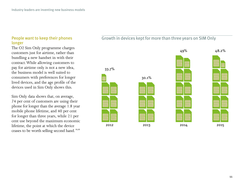#### People want to keep their phones longer

The O2 Sim Only programme charges customers just for airtime, rather than bundling a new handset in with their contract. While allowing customers to pay for airtime only is not a new idea, the business model is well suited to consumers with preferences for longer lived devices, and the age profile of the devices used in Sim Only shows this.

Sim Only data shows that, on average, 74 per cent of customers are using their phone for longer than the average 1.8 year mobile phone lifetime, and 40 per cent for longer than three years, while 21 per cent use beyond the maximum economic lifetime, the point at which the device ceases to be worth selling second hand. 11,12

#### Growth in devices kept for more than three years on SIM Only

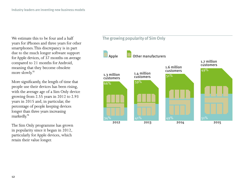We estimate this to be four and a half years for iPhones and three years for other smartphones. This discrepancy is in part due to the much longer software support for Apple devices, of 37 months on average compared to 21 months for Android, meaning that they become obsolete more slowly.<sup>13</sup>

More significantly, the length of time that people use their devices has been rising, with the average age of a Sim Only device growing from 2.55 years in 2012 to 2.93 years in 2015 and, in particular, the percentage of people keeping devices longer than three years increasing markedly.<sup>14</sup>

The Sim Only programme has grown in popularity since it began in 2012, particularly for Apple devices, which retain their value longer.

#### The growing popularity of Sim Only

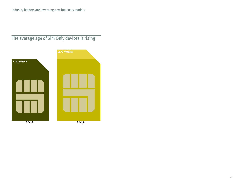### The average age of Sim Only devices is rising

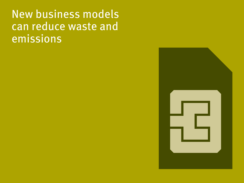# New business models can reduce waste and emissions

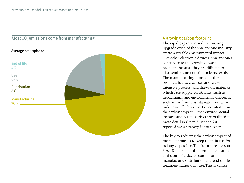

#### A growing carbon footprint

The rapid expansion and the moving upgrade cycle of the smartphone industry create a sizeable environmental impact. Like other electronic devices, smartphones contribute to the growing ewaste problem, because they are difficult to disassemble and contain toxic materials. The manufacturing process of these products is also a carbon and water intensive process, and draws on materials which face supply constraints, such as neodymium, and environmental concerns, such as tin from unsustainable mines in Indonesia.15,16 This report concentrates on the carbon impact. Other environmental impacts and business risks are outlined in more detail in Green Alliance's 2015 report *A circular economy for smart devices.*

The key to reducing the carbon impact of mobile phones is to keep them in use for as long as possible. This is for three reasons. First, 81 per cent of the embodied carbon emissions of a device come from its manufacture, distribution and end of life treatment rather than use. This is unlike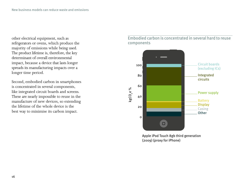other electrical equipment, such as refrigerators or ovens, which produce the majority of emissions while being used. The product lifetime is, therefore, the key determinant of overall environmental impact, because a device that lasts longer spreads its manufacturing impacts over a longer time period.

Second, embodied carbon in smartphones is concentrated in several components, like integrated circuit boards and screens. These are nearly impossible to reuse in the manufacture of new devices, so extending the lifetime of the whole device is the best way to minimise its carbon impact.

#### Embodied carbon is concentrated in several hard to reuse components



Apple iPod Touch 8gb third generation (2009) (proxy for iPhone)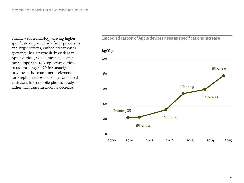Finally, with technology driving higher specifications, particularly faster processors and larger screens, embodied carbon is growing. This is particularly evident in Apple devices, which means it is even more important to keep newer devices in use for longer.<sup>17</sup> Unfortunately, this may mean that consumer preferences for keeping devices for longer only hold emissions from mobile phones steady, rather than cause an absolute decrease.

#### Embodied carbon of Apple devices rises as specifications increase

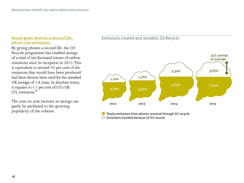#### Reuse gives devices a second life, which cuts emissions

By giving phones a second life, the O2 Recycle programme has enabled savings of a total of ten thousand tonnes of carbon emissions since its inception in 2012. This is equivalent to around 35 per cent of the emissions that would have been produced had these devices been used for the standard UK average of 1.8 years. In absolute terms, it equates to 1.1 per cent of O2's UK  $\mathrm{CO}_2$  emissions.<sup>18</sup>

The year on year increase in savings can partly be attributed to the growing popularity of the scheme.

#### Emissions created and avoided, O2 Recycle



Yearly emissions from phones received through O2 recycle Emissions avoided because of O2 recycle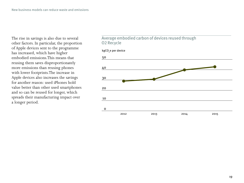The rise in savings is also due to several other factors. In particular, the proportion of Apple devices sent to the programme has increased, which have higher embodied emissions.This means that reusing them saves disproportionately more emissions than reusing phones with lower footprints.The increase in Apple devices also increases the savings for another reason: used iPhones hold value better than other used smartphones and so can be reused for longer, which spreads their manufacturing impact over a longer period.

#### Average embodied carbon of devices reused through O2 Recycle

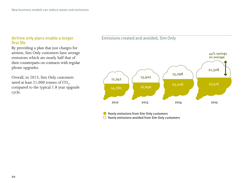#### Airtime only plans enable a longer first life

By providing a plan that just charges for airtime, Sim Only customers have average emissions which are nearly half that of their counterparts on contracts with regular phone upgrades.

Overall, in 2015, Sim Only customers saved at least  $21,000$  tonnes of  $CO<sub>2</sub>$ , compared to the typical 1.8 year upgrade cycle.

#### Emissions created and avoided, Sim Only



Yearly emissions from Sim Only customers

Yearly emissions avoided from Sim Only customers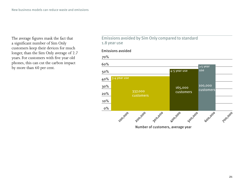The average figures mask the fact that a significant number of Sim Only customers keep their devices for much longer, than the Sim Only average of 2.7 years. For customers with five year old phones, this can cut the carbon impact by more than 60 per cent.

#### Emissions avoided by Sim Only compared to standard 1.8 year use

#### Emissions avoided



Number of customers, average year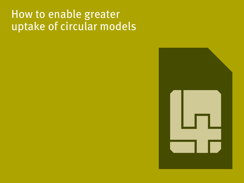## How to enable greater uptake of circular models

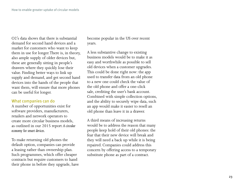O2's data shows that there is substantial demand for second hand devices and a market for customers who want to keep them in use for longer. There is, in theory, also ample supply of older devices but, these are generally sitting in people's drawers where they quickly lose their value. Finding better ways to link up supply and demand, and get second hand devices into the hands of the people that want them, will ensure that more phones can be useful for longer.

#### What companies can do

A number of opportunities exist for software providers, manufacturers, retailers and network operators to create more circular business models, as outlined in our 2015 report *A circular economy for smart devices.*

To make returning old phones the default option, companies can provide a leasing rather than ownership plan. Such programmes, which offer cheaper contracts but require customers to hand their phone in before they upgrade, have become popular in the US over recent years.

A less substantive change to existing business models would be to make it as easy and worthwhile as possible to sell old devices when a customer upgrades. This could be done right now: the app used to transfer data from an old phone to a new one could check the value of the old phone and offer a one-click sale, crediting the user's bank account. Combined with simple collection options, and the ability to securely wipe data, such an app would make it easier to resell an old phone than leave it in a drawer.

A third means of increasing returns would be to address the reason that many people keep hold of their old phones: the fear that their new device will break and they will need a back up while it is being repaired. Companies could address this concern by offering access to a temporary substitute phone as part of a contract.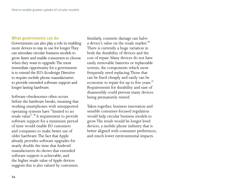#### What governments can do

Governments can also play a role in enabling more devices to stay in use for longer. They can stimulate circular business models to grow faster and enable consumers to choose when they want to upgrade. The most immediate opportunity for a government is to extend the EU's Ecodesign Directive to require mobile phone manufacturers to provide extended software support and longer lasting hardware.

Software obsolescence often occurs before the hardware breaks, meaning that working smartphones with unsupported operating systems have "limited to no resale value".<sup>19</sup> A requirement to provide software support for a minimum period of time would enable EU customers and companies to make better use of older hardware. The fact that Apple already provides software upgrades for nearly double the time that Android manufacturers do shows that extended software support is achievable, and the higher resale value of Apple devices suggests this is also valued by customers. Similarly, cosmetic damage can halve a device's value on the resale market.<sup>20</sup> There is currently a huge variation in both the durability of devices and the cost of repair. Many devices do not have easily removable batteries or replaceable screens, the components which most frequently need replacing. Those that can be fixed cheaply and easily can be economic to repair for up to five years.<sup>21</sup> Requirements for durability and ease of disassembly could prevent many devices being prematurely retired.

Taken together, business innovation and sensible consumer-focused regulation would help circular business models to grow. The result would be longer lived devices, a mobile phone industry that is better aligned with consumer preferences, and much lower environmental impacts.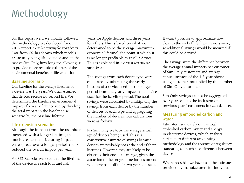## Methodology

For this report we, have broadly followed the methodology we developed for our 2015 report *A circular economy for smart devices*. Data from O2 has shown which models are actually being life extended and, in the case of Sim Only, how long for, allowing us to provide more realistic estimates of the environmental benefits of life extension.

#### Baseline scenario

Our baseline for the average lifetime of a device was 1.8 years. We then assumed that devices receive no second life. We determined the baseline environmental impact of a year of device use by dividing the total impact in the baseline use scenario by the baseline lifetime.

#### Life extension scenarios

Although the impacts from the use phase increased with a longer lifetime, the much greater manufacturing impacts were spread over a longer period and so reduced the overall impact per year.

For O2 Recycle, we extended the lifetime of the device to reach four and half

years for Apple devices and three years for others. This is based on what we determined to be the average 'maximum economic lifetime', the point at which it is no longer profitable to resell a device. This is explained in *A circular economy for smart devices.* 

The savings from each device type were calculated by subtracting the yearly impacts of a device used for the longer period from the yearly impacts of a device used for the baseline period. The total savings were calculated by multiplying the savings from each device by the number of devices of each type and aggregating the number of devices. Our calculations were as follows:

For Sim Only we took the average actual age of devices being used. This is a conservative estimate of savings because devices are probably not at the end of their lifetimes. However, they are likely to be closer to their end than average, given the attraction of the programme for customers who have paid off their two year contracts.

It wasn't possible to approximate how close to the end of life these devices were, so additional savings would be incurred if this could be derived.

The savings were the difference between the average annual impacts per customer of Sim Only customers and average annual impacts of the 1.8 year phone using customer, multiplied by the number of Sim Only customers.

Sim Only savings cannot be aggregated over years due to the inclusion of previous years' customers in each data set.

#### Measuring embodied carbon and water

Estimates vary widely on the total embodied carbon, water and energy in electronic devices, which analysts attribute to different accounting methodology and the absence of regulatory standards, as much as differences between devices.

Where possible, we have used the estimates provided by manufacturers for individual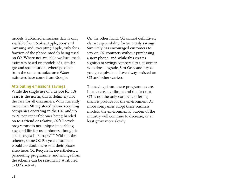models. Published emissions data is only available from Nokia, Apple, Sony and Samsung and, excepting Apple, only for a fraction of the phone models being used on O2. Where not available we have made estimates based on models of a similar age and specification, where possible from the same manufacturer. Water estimates have come from Google.

#### Attributing emissions savings

While the single use of a device for 1.8 years is the norm, this is definitely not the case for all consumers. With currently more than 60 registered phone recycling companies operating in the UK, and up to 20 per cent of phones being handed on to a friend or relative, O2's Recycle programme is not unique in enabling a second life for used phones, though it is the largest in Europe.<sup>22,23</sup> Without the scheme, some O2 Recycle customers would no doubt have sold their phone elsewhere. O2 Recycle is, nevertheless, a pioneering programme, and savings from the scheme can be reasonably attributed to O2's activity.

On the other hand, O2 cannot definitively claim responsibility for Sim Only savings. Sim Only has encouraged customers to stay on O2 contracts without purchasing a new phone, and while this creates significant savings compared to a customer who does upgrade, Sim Only and pay as you go equivalents have always existed on O2 and other carriers.

The savings from these programmes are, in any case, significant and the fact that O2 is not the only company offering them is positive for the environment. As more companies adopt these business models, the environmental burden of the industry will continue to decrease, or at least grow more slowly.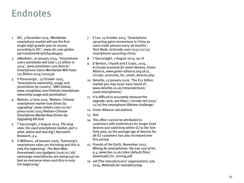### Endnotes

- 1 IDC, 3 December 2015, 'Worldwide smartphone market will see the first single-digit growth year on record, according to IDC', www.idc.com getdoc. jsp?containerId=prUS40664915
- 2 *eMarketer*, 16 January 2014, 'Smartphone users worldwide will total 1.75 billion in 2014', www.emarketer.com/Article/ Smartphone-Users-Worldwide-Will-Total-175-Billion-2014/1010536
- 3 P Kissonergis , 13 October 2015, 'Smartphone ownership, usage and penetration by country', SMS Global, www.smsglobal.com/thehub/smartphoneownership-usage-and-penetration/
- 4 Nielsen, 17 June 2015, 'Nielsen: Chinese smartphone market now driven by upgrading', www.nielsen.com/cn/en/ press-room/2015/Nielsen-Chinese-Smartphone-Market-Now-Driven-by-Upgrading-EN.html
- 5 T Sacconaghi, 7 August 2013, *The long view: the used smartphone market, part 1: what, where and how big?*, Bernstein Research, p 4
- 6 O Williams, 28 January 2016, 'Samsung's smartphone sales are shrinking and this is only the beginning', *The Next Web*, thenextweb.com/gadgets/2016/01/28/ samsungs-smartphones-are-doing-just-asbad-as-everyone-elses-and-this-is-onlythe-beginning/
- 7 E Lee, 13 October 2015, 'Smartphone upcycling gains momentum In China as users trade phones every 18 months', *Tech Node*, technode.com/2015/10/13/ smartphone-upcycling-china/
- 8 T Sacconaghi, 7 August 2013, op cit
- 9 D Benton, J Hazell and E Coats, 2015, *A circular economy for smart devices*, Green Alliance, www.green-alliance.org.uk/a\_ circular\_economy\_for\_smart\_devices.php
- 10 Deloitte, 13 January 2016, 'The £12 billion market you may never have heard of', www.deloitte.co.uk/tmtpredictions/ used-smartphones/
- 11 It is difficult to accurately measure the upgrade cycle, see https://recode net/2015/ 12/16/the-smartphone-lifetime-challenge/
- 12 Green Alliance calculations
- 13 Ibid
- 14 This effect cannot be attributed to customers with preferences for longer lived devices just switching within O 2 to the Sim Only plan, as the average age of devices for all O 2 customers has also increased over this period.
- 15 Friends of the Earth, November 2012, *Mining for smartphones: the true cost of tin*, p 4, www.foe.co.uk/sites/default/files/ downloads/tin\_mining.pdf
- 16 eef (The manufacturers' organisation), July 2014, *Materials for manufacturing:*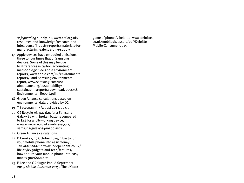*safeguarding* supply, p1, www.eef.org.uk/ resources-and-knowledge/research-andintelligence/industry-reports/materials-formanufacturing-safeguarding-supply

- 17 Apple devices have embodied emissions three to four times that of Samsung devices. Some of this may be due to differences in carbon accounting methodology. See Apple environment reports, www.apple.com/uk/environment/ reports/; and Samsung environmental report, www.samsung.com/us/ aboutsamsung/sustainability/ sustainabilityreports/download/2014/18\_ Environmental\_Report.pdf
- 18 Green Alliance calculations based on environmental data provided by O2
- 19 T Sacconaghi, 7 August 2013, op cit
- 20 O2 Recycle will pay £24 for a Samsung Galaxy S4 with broken buttons compared to £48 for a fully working device, www.o2recycle.co.uk/mobiles/5552/ samsung-galaxy-s4-i9500.aspx
- 21 Green Alliance calculations
- 22 D Crookes, 29 October 2014, 'How to turn your mobile phone into easy money', *The Independent*, www.independent.co.uk/ life-style/gadgets-and-tech/features/ how-to-turn-your-mobile-phone-into-easymoney-9826860.html
- 23 P Lee and C Calugar-Pop, 8 September 2015, *Mobile Consumer 2015*, 'The UK cut:

game of phones', Deloitte, www.deloitte. co.uk/mobileuk/assets/pdf/Deloitte-Mobile-Consumer-2015